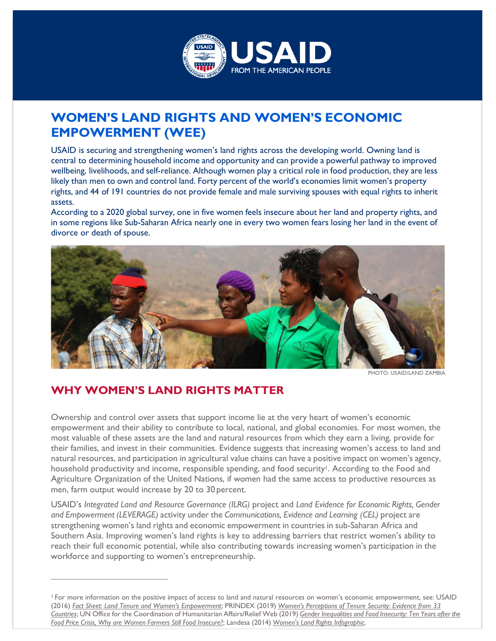

## **WOMEN'S LAND RIGHTS AND WOMEN'S ECONOMIC EMPOWERMENT (WEE)**

USAID is securing and strengthening women's land rights across the developing world. Owning land is central to determining household income and opportunity and can provide a powerful pathway to improved wellbeing, livelihoods, and self-reliance. Although women play a critical role in food production, they are less likely than men to own and control land. Forty percent of the world's economies limit women's property rights, and 44 of 191 countries do not provide female and male surviving spouses with equal rights to inherit assets.

According to a 2020 global survey, one in five women feels insecure about her land and property rights, and in some regions like Sub-Saharan Africa nearly one in every two women fears losing her land in the event of divorce or death of spouse.



PHOTO: USAID/LAND ZAMBIA

## **WHY WOMEN'S LAND RIGHTS MATTER**

Ownership and control over assets that support income lie at the very heart of women's economic empowerment and their ability to contribute to local, national, and global economies. For most women, the most valuable of these assets are the land and natural resources from which they earn a living, provide for their families, and invest in their communities. Evidence suggests that increasing women's access to land and natural resources, and participation in agricultural value chains can have a positive impact on women's agency, household productivity and income, responsible spending, and food security<sup>1</sup>. According to the Food and Agriculture Organization of the United Nations, if women had the same access to productive resources as men, farm output would increase by 20 to 30 percent.

USAID's *Integrated Land and Resource Governance (ILRG)* project and *Land Evidence for Economic Rights, Gender and Empowerment (LEVERAGE)* activity under the *Communications, Evidence and Learning (CEL)* project are strengthening women's land rights and economic empowerment in countries in sub-Saharan Africa and Southern Asia. Improving women's land rights is key to addressing barriers that restrict women's ability to reach their full economic potential, while also contributing towards increasing women's participation in the workforce and supporting to women's entrepreneurship.

<span id="page-0-0"></span><sup>1</sup> For more information on the positive impact of access to land and natural resources on women's economic empowerment, see: USAID (2016) *[Fact Sheet: Land Tenure and Women's Empowerment](https://land-links.org/issue-brief/fact-sheet-land-tenure-womens-empowerment/)*; PRINDEX (2019) *[Women's Perceptions of Tenure Security: Evidence from 33](https://www.prindex.net/reports/womens-perceptions-tenure-security-evidence-33-countries/) [Countries](https://www.prindex.net/reports/womens-perceptions-tenure-security-evidence-33-countries/)*; UN Office for the Coordination of Humanitarian Affairs/Relief Web (2019) *Gender [Inequalities](https://reliefweb.int/report/world/gender-inequalities-and-food-insecurity-ten-years-after-food-price-crisis-why-are-women) and Food Insecurity: Ten Years after the Food Price Crisis, Why are Women Farmers Still Food [Insecure?](https://reliefweb.int/report/world/gender-inequalities-and-food-insecurity-ten-years-after-food-price-crisis-why-are-women)*; Landesa (2014) *Women's Land Rights [Infographic](https://www.landesa.org/resources/womens-land-rights-and-the-sustainable-development-goals/)*.